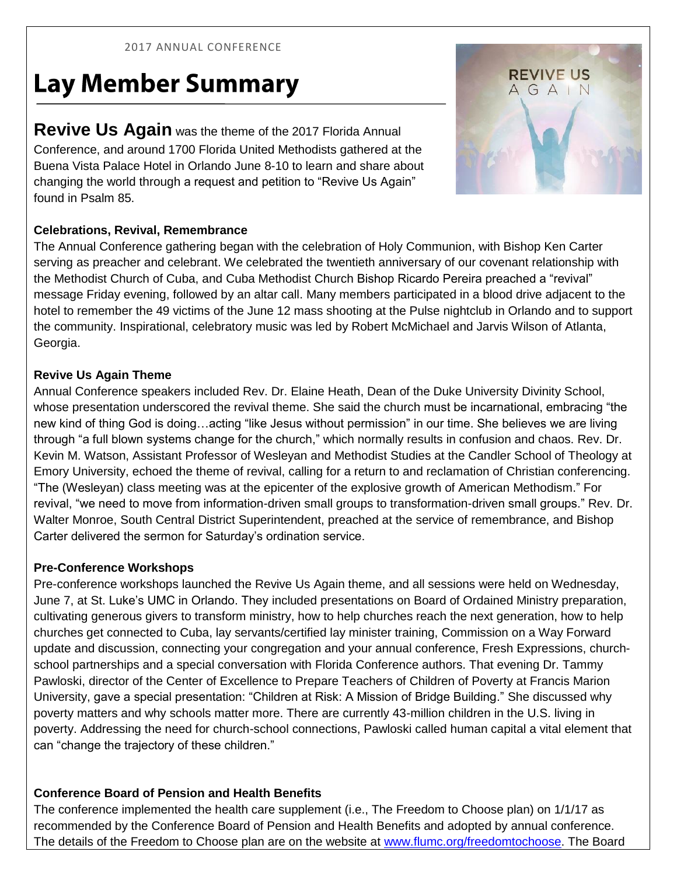#### 2017 ANNUAL CONFERENCE

# **Lay Member Summary**

**Revive Us Again** was the theme of the 2017 Florida Annual Conference, and around 1700 Florida United Methodists gathered at the Buena Vista Palace Hotel in Orlando June 8-10 to learn and share about changing the world through a request and petition to "Revive Us Again" found in Psalm 85.

## **Celebrations, Revival, Remembrance**

The Annual Conference gathering began with the celebration of Holy Communion, with Bishop Ken Carter serving as preacher and celebrant. We celebrated the twentieth anniversary of our covenant relationship with the Methodist Church of Cuba, and Cuba Methodist Church Bishop Ricardo Pereira preached a "revival" message Friday evening, followed by an altar call. Many members participated in a blood drive adjacent to the hotel to remember the 49 victims of the June 12 mass shooting at the Pulse nightclub in Orlando and to support the community. Inspirational, celebratory music was led by Robert McMichael and Jarvis Wilson of Atlanta, Georgia.

## **Revive Us Again Theme**

Annual Conference speakers included Rev. Dr. Elaine Heath, Dean of the Duke University Divinity School, whose presentation underscored the revival theme. She said the church must be incarnational, embracing "the new kind of thing God is doing…acting "like Jesus without permission" in our time. She believes we are living through "a full blown systems change for the church," which normally results in confusion and chaos. Rev. Dr. Kevin M. Watson, Assistant Professor of Wesleyan and Methodist Studies at the Candler School of Theology at Emory University, echoed the theme of revival, calling for a return to and reclamation of Christian conferencing. "The (Wesleyan) class meeting was at the epicenter of the explosive growth of American Methodism." For revival, "we need to move from information-driven small groups to transformation-driven small groups." Rev. Dr. Walter Monroe, South Central District Superintendent, preached at the service of remembrance, and Bishop Carter delivered the sermon for Saturday's ordination service.

#### **Pre-Conference Workshops**

Pre-conference workshops launched the Revive Us Again theme, and all sessions were held on Wednesday, June 7, at St. Luke's UMC in Orlando. They included presentations on Board of Ordained Ministry preparation, cultivating generous givers to transform ministry, how to help churches reach the next generation, how to help churches get connected to Cuba, lay servants/certified lay minister training, Commission on a Way Forward update and discussion, connecting your congregation and your annual conference, Fresh Expressions, churchschool partnerships and a special conversation with Florida Conference authors. That evening Dr. Tammy Pawloski, director of the Center of Excellence to Prepare Teachers of Children of Poverty at Francis Marion University, gave a special presentation: "Children at Risk: A Mission of Bridge Building." She discussed why poverty matters and why schools matter more. There are currently 43-million children in the U.S. living in poverty. Addressing the need for church-school connections, Pawloski called human capital a vital element that can "change the trajectory of these children."

## **Conference Board of Pension and Health Benefits**

The conference implemented the health care supplement (i.e., The Freedom to Choose plan) on 1/1/17 as recommended by the Conference Board of Pension and Health Benefits and adopted by annual conference. The details of the Freedom to Choose plan are on the website at [www.flumc.org/freedomtochoose.](http://www.flumc.org/freedomtochoose) The Board